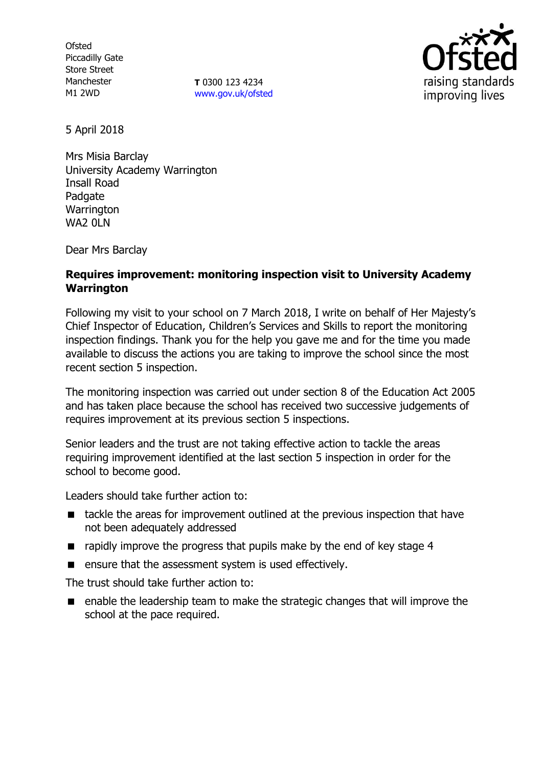**Ofsted** Piccadilly Gate Store Street Manchester M1 2WD

**T** 0300 123 4234 [www.gov.uk/ofsted](http://www.gov.uk/ofsted)



5 April 2018

Mrs Misia Barclay University Academy Warrington Insall Road **Padgate Warrington** WA<sub>2</sub> 0LN

Dear Mrs Barclay

### **Requires improvement: monitoring inspection visit to University Academy Warrington**

Following my visit to your school on 7 March 2018, I write on behalf of Her Majesty's Chief Inspector of Education, Children's Services and Skills to report the monitoring inspection findings. Thank you for the help you gave me and for the time you made available to discuss the actions you are taking to improve the school since the most recent section 5 inspection.

The monitoring inspection was carried out under section 8 of the Education Act 2005 and has taken place because the school has received two successive judgements of requires improvement at its previous section 5 inspections.

Senior leaders and the trust are not taking effective action to tackle the areas requiring improvement identified at the last section 5 inspection in order for the school to become good.

Leaders should take further action to:

- tackle the areas for improvement outlined at the previous inspection that have not been adequately addressed
- rapidly improve the progress that pupils make by the end of key stage 4
- **EXECUTE:** ensure that the assessment system is used effectively.

The trust should take further action to:

■ enable the leadership team to make the strategic changes that will improve the school at the pace required.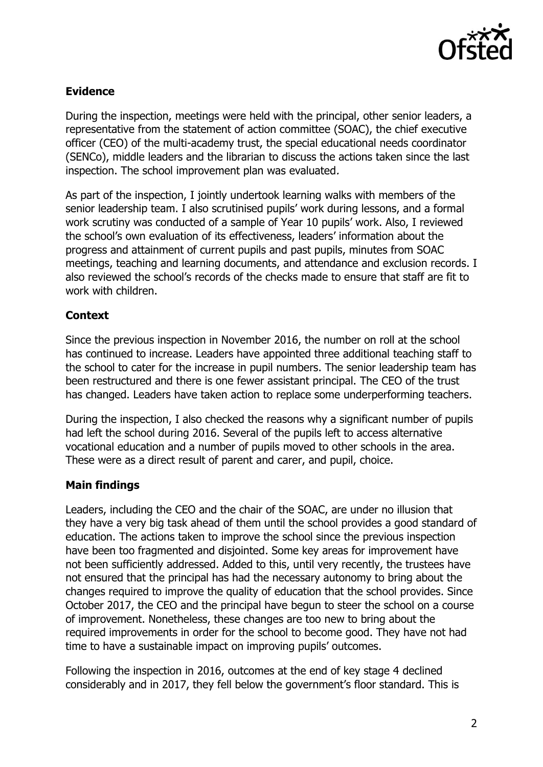

## **Evidence**

During the inspection, meetings were held with the principal, other senior leaders, a representative from the statement of action committee (SOAC), the chief executive officer (CEO) of the multi-academy trust, the special educational needs coordinator (SENCo), middle leaders and the librarian to discuss the actions taken since the last inspection. The school improvement plan was evaluated.

As part of the inspection, I jointly undertook learning walks with members of the senior leadership team. I also scrutinised pupils' work during lessons, and a formal work scrutiny was conducted of a sample of Year 10 pupils' work. Also, I reviewed the school's own evaluation of its effectiveness, leaders' information about the progress and attainment of current pupils and past pupils, minutes from SOAC meetings, teaching and learning documents, and attendance and exclusion records. I also reviewed the school's records of the checks made to ensure that staff are fit to work with children.

#### **Context**

Since the previous inspection in November 2016, the number on roll at the school has continued to increase. Leaders have appointed three additional teaching staff to the school to cater for the increase in pupil numbers. The senior leadership team has been restructured and there is one fewer assistant principal. The CEO of the trust has changed. Leaders have taken action to replace some underperforming teachers.

During the inspection, I also checked the reasons why a significant number of pupils had left the school during 2016. Several of the pupils left to access alternative vocational education and a number of pupils moved to other schools in the area. These were as a direct result of parent and carer, and pupil, choice.

# **Main findings**

Leaders, including the CEO and the chair of the SOAC, are under no illusion that they have a very big task ahead of them until the school provides a good standard of education. The actions taken to improve the school since the previous inspection have been too fragmented and disjointed. Some key areas for improvement have not been sufficiently addressed. Added to this, until very recently, the trustees have not ensured that the principal has had the necessary autonomy to bring about the changes required to improve the quality of education that the school provides. Since October 2017, the CEO and the principal have begun to steer the school on a course of improvement. Nonetheless, these changes are too new to bring about the required improvements in order for the school to become good. They have not had time to have a sustainable impact on improving pupils' outcomes.

Following the inspection in 2016, outcomes at the end of key stage 4 declined considerably and in 2017, they fell below the government's floor standard. This is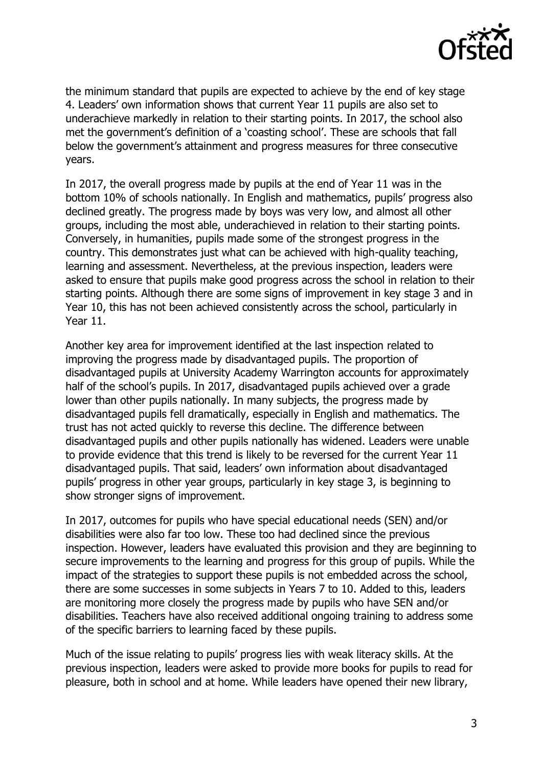

the minimum standard that pupils are expected to achieve by the end of key stage 4. Leaders' own information shows that current Year 11 pupils are also set to underachieve markedly in relation to their starting points. In 2017, the school also met the government's definition of a 'coasting school'. These are schools that fall below the government's attainment and progress measures for three consecutive years.

In 2017, the overall progress made by pupils at the end of Year 11 was in the bottom 10% of schools nationally. In English and mathematics, pupils' progress also declined greatly. The progress made by boys was very low, and almost all other groups, including the most able, underachieved in relation to their starting points. Conversely, in humanities, pupils made some of the strongest progress in the country. This demonstrates just what can be achieved with high-quality teaching, learning and assessment. Nevertheless, at the previous inspection, leaders were asked to ensure that pupils make good progress across the school in relation to their starting points. Although there are some signs of improvement in key stage 3 and in Year 10, this has not been achieved consistently across the school, particularly in Year 11.

Another key area for improvement identified at the last inspection related to improving the progress made by disadvantaged pupils. The proportion of disadvantaged pupils at University Academy Warrington accounts for approximately half of the school's pupils. In 2017, disadvantaged pupils achieved over a grade lower than other pupils nationally. In many subjects, the progress made by disadvantaged pupils fell dramatically, especially in English and mathematics. The trust has not acted quickly to reverse this decline. The difference between disadvantaged pupils and other pupils nationally has widened. Leaders were unable to provide evidence that this trend is likely to be reversed for the current Year 11 disadvantaged pupils. That said, leaders' own information about disadvantaged pupils' progress in other year groups, particularly in key stage 3, is beginning to show stronger signs of improvement.

In 2017, outcomes for pupils who have special educational needs (SEN) and/or disabilities were also far too low. These too had declined since the previous inspection. However, leaders have evaluated this provision and they are beginning to secure improvements to the learning and progress for this group of pupils. While the impact of the strategies to support these pupils is not embedded across the school, there are some successes in some subjects in Years 7 to 10. Added to this, leaders are monitoring more closely the progress made by pupils who have SEN and/or disabilities. Teachers have also received additional ongoing training to address some of the specific barriers to learning faced by these pupils.

Much of the issue relating to pupils' progress lies with weak literacy skills. At the previous inspection, leaders were asked to provide more books for pupils to read for pleasure, both in school and at home. While leaders have opened their new library,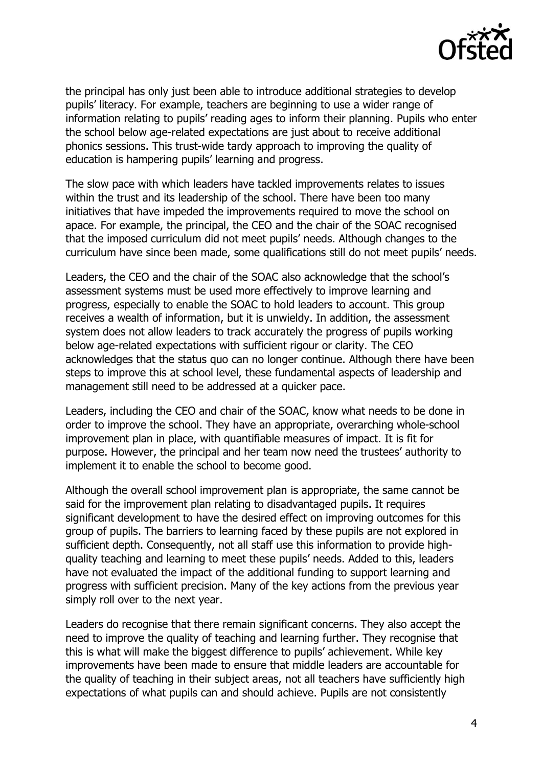

the principal has only just been able to introduce additional strategies to develop pupils' literacy. For example, teachers are beginning to use a wider range of information relating to pupils' reading ages to inform their planning. Pupils who enter the school below age-related expectations are just about to receive additional phonics sessions. This trust-wide tardy approach to improving the quality of education is hampering pupils' learning and progress.

The slow pace with which leaders have tackled improvements relates to issues within the trust and its leadership of the school. There have been too many initiatives that have impeded the improvements required to move the school on apace. For example, the principal, the CEO and the chair of the SOAC recognised that the imposed curriculum did not meet pupils' needs. Although changes to the curriculum have since been made, some qualifications still do not meet pupils' needs.

Leaders, the CEO and the chair of the SOAC also acknowledge that the school's assessment systems must be used more effectively to improve learning and progress, especially to enable the SOAC to hold leaders to account. This group receives a wealth of information, but it is unwieldy. In addition, the assessment system does not allow leaders to track accurately the progress of pupils working below age-related expectations with sufficient rigour or clarity. The CEO acknowledges that the status quo can no longer continue. Although there have been steps to improve this at school level, these fundamental aspects of leadership and management still need to be addressed at a quicker pace.

Leaders, including the CEO and chair of the SOAC, know what needs to be done in order to improve the school. They have an appropriate, overarching whole-school improvement plan in place, with quantifiable measures of impact. It is fit for purpose. However, the principal and her team now need the trustees' authority to implement it to enable the school to become good.

Although the overall school improvement plan is appropriate, the same cannot be said for the improvement plan relating to disadvantaged pupils. It requires significant development to have the desired effect on improving outcomes for this group of pupils. The barriers to learning faced by these pupils are not explored in sufficient depth. Consequently, not all staff use this information to provide highquality teaching and learning to meet these pupils' needs. Added to this, leaders have not evaluated the impact of the additional funding to support learning and progress with sufficient precision. Many of the key actions from the previous year simply roll over to the next year.

Leaders do recognise that there remain significant concerns. They also accept the need to improve the quality of teaching and learning further. They recognise that this is what will make the biggest difference to pupils' achievement. While key improvements have been made to ensure that middle leaders are accountable for the quality of teaching in their subject areas, not all teachers have sufficiently high expectations of what pupils can and should achieve. Pupils are not consistently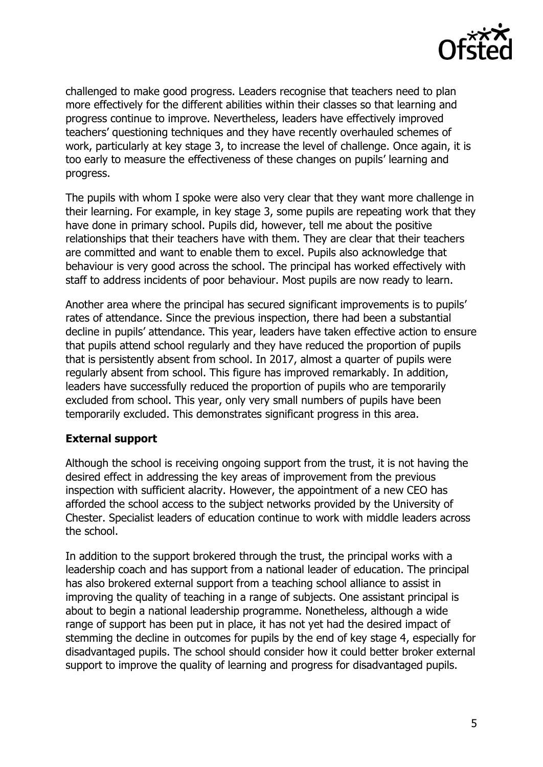

challenged to make good progress. Leaders recognise that teachers need to plan more effectively for the different abilities within their classes so that learning and progress continue to improve. Nevertheless, leaders have effectively improved teachers' questioning techniques and they have recently overhauled schemes of work, particularly at key stage 3, to increase the level of challenge. Once again, it is too early to measure the effectiveness of these changes on pupils' learning and progress.

The pupils with whom I spoke were also very clear that they want more challenge in their learning. For example, in key stage 3, some pupils are repeating work that they have done in primary school. Pupils did, however, tell me about the positive relationships that their teachers have with them. They are clear that their teachers are committed and want to enable them to excel. Pupils also acknowledge that behaviour is very good across the school. The principal has worked effectively with staff to address incidents of poor behaviour. Most pupils are now ready to learn.

Another area where the principal has secured significant improvements is to pupils' rates of attendance. Since the previous inspection, there had been a substantial decline in pupils' attendance. This year, leaders have taken effective action to ensure that pupils attend school regularly and they have reduced the proportion of pupils that is persistently absent from school. In 2017, almost a quarter of pupils were regularly absent from school. This figure has improved remarkably. In addition, leaders have successfully reduced the proportion of pupils who are temporarily excluded from school. This year, only very small numbers of pupils have been temporarily excluded. This demonstrates significant progress in this area.

#### **External support**

Although the school is receiving ongoing support from the trust, it is not having the desired effect in addressing the key areas of improvement from the previous inspection with sufficient alacrity. However, the appointment of a new CEO has afforded the school access to the subject networks provided by the University of Chester. Specialist leaders of education continue to work with middle leaders across the school.

In addition to the support brokered through the trust, the principal works with a leadership coach and has support from a national leader of education. The principal has also brokered external support from a teaching school alliance to assist in improving the quality of teaching in a range of subjects. One assistant principal is about to begin a national leadership programme. Nonetheless, although a wide range of support has been put in place, it has not yet had the desired impact of stemming the decline in outcomes for pupils by the end of key stage 4, especially for disadvantaged pupils. The school should consider how it could better broker external support to improve the quality of learning and progress for disadvantaged pupils.